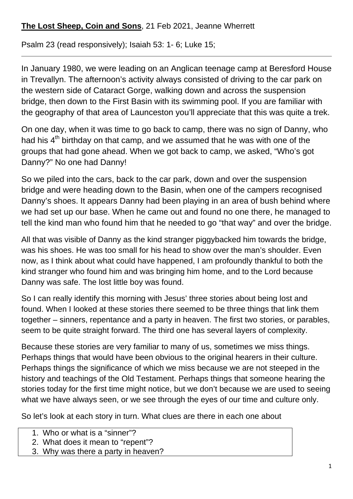## **The Lost Sheep, Coin and Sons**, 21 Feb 2021, Jeanne Wherrett

Psalm 23 (read responsively); Isaiah 53: 1- 6; Luke 15;

In January 1980, we were leading on an Anglican teenage camp at Beresford House in Trevallyn. The afternoon's activity always consisted of driving to the car park on the western side of Cataract Gorge, walking down and across the suspension bridge, then down to the First Basin with its swimming pool. If you are familiar with the geography of that area of Launceston you'll appreciate that this was quite a trek.

On one day, when it was time to go back to camp, there was no sign of Danny, who had his  $4<sup>th</sup>$  birthday on that camp, and we assumed that he was with one of the groups that had gone ahead. When we got back to camp, we asked, "Who's got Danny?" No one had Danny!

So we piled into the cars, back to the car park, down and over the suspension bridge and were heading down to the Basin, when one of the campers recognised Danny's shoes. It appears Danny had been playing in an area of bush behind where we had set up our base. When he came out and found no one there, he managed to tell the kind man who found him that he needed to go "that way" and over the bridge.

All that was visible of Danny as the kind stranger piggybacked him towards the bridge, was his shoes. He was too small for his head to show over the man's shoulder. Even now, as I think about what could have happened, I am profoundly thankful to both the kind stranger who found him and was bringing him home, and to the Lord because Danny was safe. The lost little boy was found.

So I can really identify this morning with Jesus' three stories about being lost and found. When I looked at these stories there seemed to be three things that link them together – sinners, repentance and a party in heaven. The first two stories, or parables, seem to be quite straight forward. The third one has several layers of complexity.

Because these stories are very familiar to many of us, sometimes we miss things. Perhaps things that would have been obvious to the original hearers in their culture. Perhaps things the significance of which we miss because we are not steeped in the history and teachings of the Old Testament. Perhaps things that someone hearing the stories today for the first time might notice, but we don't because we are used to seeing what we have always seen, or we see through the eyes of our time and culture only.

So let's look at each story in turn. What clues are there in each one about

- 1. Who or what is a "sinner"?
- 2. What does it mean to "repent"?
- 3. Why was there a party in heaven?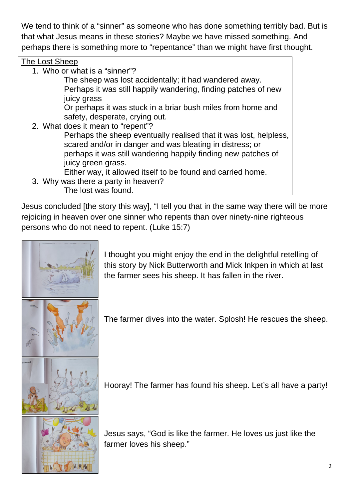We tend to think of a "sinner" as someone who has done something terribly bad. But is that what Jesus means in these stories? Maybe we have missed something. And perhaps there is something more to "repentance" than we might have first thought.

## The Lost Sheep

1. Who or what is a "sinner"?

The sheep was lost accidentally; it had wandered away. Perhaps it was still happily wandering, finding patches of new juicy grass

Or perhaps it was stuck in a briar bush miles from home and safety, desperate, crying out.

2. What does it mean to "repent"? Perhaps the sheep eventually realised that it was lost, helpless, scared and/or in danger and was bleating in distress; or perhaps it was still wandering happily finding new patches of juicy green grass.

Either way, it allowed itself to be found and carried home.

3. Why was there a party in heaven? The lost was found.

Jesus concluded [the story this way], "I tell you that in the same way there will be more rejoicing in heaven over one sinner who repents than over ninety-nine righteous persons who do not need to repent. (Luke 15:7)



I thought you might enjoy the end in the delightful retelling of this story by Nick Butterworth and Mick Inkpen in which at last the farmer sees his sheep. It has fallen in the river.

The farmer dives into the water. Splosh! He rescues the sheep.





Jesus says, "God is like the farmer. He loves us just like the farmer loves his sheep."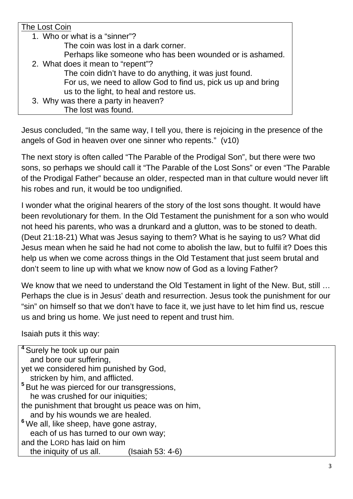## The Lost Coin 1. Who or what is a "sinner"? The coin was lost in a dark corner. Perhaps like someone who has been wounded or is ashamed. 2. What does it mean to "repent"? The coin didn't have to do anything, it was just found. For us, we need to allow God to find us, pick us up and bring us to the light, to heal and restore us. 3. Why was there a party in heaven? The lost was found.

Jesus concluded, "In the same way, I tell you, there is rejoicing in the presence of the angels of God in heaven over one sinner who repents." (v10)

The next story is often called "The Parable of the Prodigal Son", but there were two sons, so perhaps we should call it "The Parable of the Lost Sons" or even "The Parable of the Prodigal Father" because an older, respected man in that culture would never lift his robes and run, it would be too undignified.

I wonder what the original hearers of the story of the lost sons thought. It would have been revolutionary for them. In the Old Testament the punishment for a son who would not heed his parents, who was a drunkard and a glutton, was to be stoned to death. (Deut 21:18-21) What was Jesus saying to them? What is he saying to us? What did Jesus mean when he said he had not come to abolish the law, but to fulfil it? Does this help us when we come across things in the Old Testament that just seem brutal and don't seem to line up with what we know now of God as a loving Father?

We know that we need to understand the Old Testament in light of the New. But, still ... Perhaps the clue is in Jesus' death and resurrection. Jesus took the punishment for our "sin" on himself so that we don't have to face it, we just have to let him find us, rescue us and bring us home. We just need to repent and trust him.

Isaiah puts it this way:

| <sup>4</sup> Surely he took up our pain                 |
|---------------------------------------------------------|
| and bore our suffering,                                 |
| yet we considered him punished by God,                  |
| stricken by him, and afflicted.                         |
| <sup>5</sup> But he was pierced for our transgressions, |
| he was crushed for our iniquities;                      |
| the punishment that brought us peace was on him,        |
| and by his wounds we are healed.                        |
| <sup>6</sup> We all, like sheep, have gone astray,      |
| each of us has turned to our own way;                   |
| and the LORD has laid on him                            |
| the iniquity of us all.<br>(Isaiah 53: 4-6)             |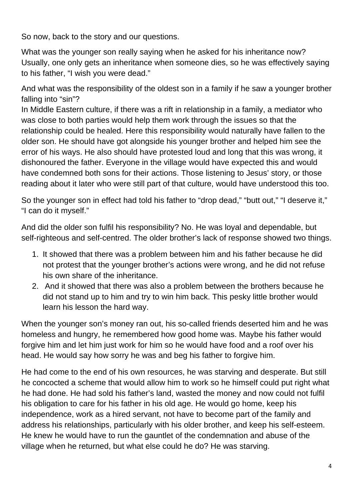So now, back to the story and our questions.

What was the younger son really saying when he asked for his inheritance now? Usually, one only gets an inheritance when someone dies, so he was effectively saying to his father, "I wish you were dead."

And what was the responsibility of the oldest son in a family if he saw a younger brother falling into "sin"?

In Middle Eastern culture, if there was a rift in relationship in a family, a mediator who was close to both parties would help them work through the issues so that the relationship could be healed. Here this responsibility would naturally have fallen to the older son. He should have got alongside his younger brother and helped him see the error of his ways. He also should have protested loud and long that this was wrong, it dishonoured the father. Everyone in the village would have expected this and would have condemned both sons for their actions. Those listening to Jesus' story, or those reading about it later who were still part of that culture, would have understood this too.

So the younger son in effect had told his father to "drop dead," "butt out," "I deserve it," "I can do it myself."

And did the older son fulfil his responsibility? No. He was loyal and dependable, but self-righteous and self-centred. The older brother's lack of response showed two things.

- 1. It showed that there was a problem between him and his father because he did not protest that the younger brother's actions were wrong, and he did not refuse his own share of the inheritance.
- 2. And it showed that there was also a problem between the brothers because he did not stand up to him and try to win him back. This pesky little brother would learn his lesson the hard way.

When the younger son's money ran out, his so-called friends deserted him and he was homeless and hungry, he remembered how good home was. Maybe his father would forgive him and let him just work for him so he would have food and a roof over his head. He would say how sorry he was and beg his father to forgive him.

He had come to the end of his own resources, he was starving and desperate. But still he concocted a scheme that would allow him to work so he himself could put right what he had done. He had sold his father's land, wasted the money and now could not fulfil his obligation to care for his father in his old age. He would go home, keep his independence, work as a hired servant, not have to become part of the family and address his relationships, particularly with his older brother, and keep his self-esteem. He knew he would have to run the gauntlet of the condemnation and abuse of the village when he returned, but what else could he do? He was starving.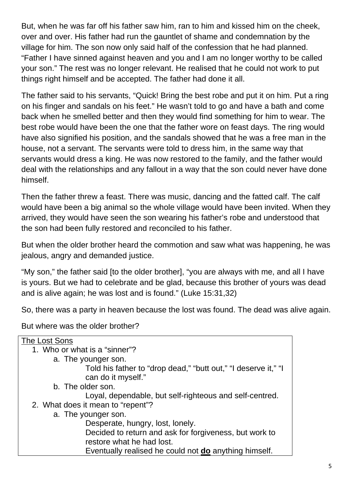But, when he was far off his father saw him, ran to him and kissed him on the cheek, over and over. His father had run the gauntlet of shame and condemnation by the village for him. The son now only said half of the confession that he had planned. "Father I have sinned against heaven and you and I am no longer worthy to be called your son." The rest was no longer relevant. He realised that he could not work to put things right himself and be accepted. The father had done it all.

The father said to his servants, "Quick! Bring the best robe and put it on him. Put a ring on his finger and sandals on his feet." He wasn't told to go and have a bath and come back when he smelled better and then they would find something for him to wear. The best robe would have been the one that the father wore on feast days. The ring would have also signified his position, and the sandals showed that he was a free man in the house, not a servant. The servants were told to dress him, in the same way that servants would dress a king. He was now restored to the family, and the father would deal with the relationships and any fallout in a way that the son could never have done himself.

Then the father threw a feast. There was music, dancing and the fatted calf. The calf would have been a big animal so the whole village would have been invited. When they arrived, they would have seen the son wearing his father's robe and understood that the son had been fully restored and reconciled to his father.

But when the older brother heard the commotion and saw what was happening, he was jealous, angry and demanded justice.

"My son," the father said [to the older brother], "you are always with me, and all I have is yours. But we had to celebrate and be glad, because this brother of yours was dead and is alive again; he was lost and is found." (Luke 15:31,32)

So, there was a party in heaven because the lost was found. The dead was alive again.

But where was the older brother?

| The Lost Sons                                                                        |
|--------------------------------------------------------------------------------------|
| 1. Who or what is a "sinner"?                                                        |
| a. The younger son.                                                                  |
| Told his father to "drop dead," "butt out," "I deserve it," "I<br>can do it myself." |
| b. The older son.                                                                    |
| Loyal, dependable, but self-righteous and self-centred.                              |
| 2. What does it mean to "repent"?                                                    |
| a. The younger son.                                                                  |
| Desperate, hungry, lost, lonely.                                                     |
| Decided to return and ask for forgiveness, but work to                               |
| restore what he had lost.                                                            |
| Eventually realised he could not <b>do</b> anything himself.                         |